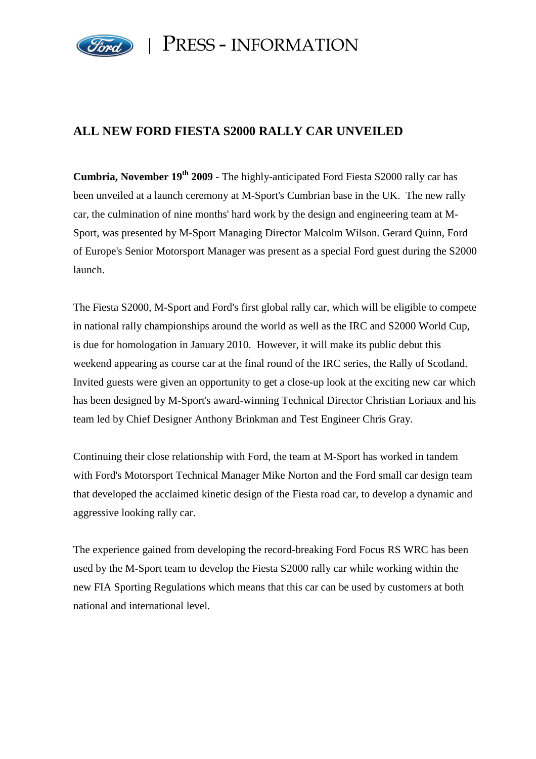

PRESS - INFORMATION

## **ALL NEW FORD FIESTA S2000 RALLY CAR UNVEILED**

**Cumbria, November 19th 2009** - The highly-anticipated Ford Fiesta S2000 rally car has been unveiled at a launch ceremony at M-Sport's Cumbrian base in the UK. The new rally car, the culmination of nine months' hard work by the design and engineering team at M-Sport, was presented by M-Sport Managing Director Malcolm Wilson. Gerard Quinn, Ford of Europe's Senior Motorsport Manager was present as a special Ford guest during the S2000 launch.

The Fiesta S2000, M-Sport and Ford's first global rally car, which will be eligible to compete in national rally championships around the world as well as the IRC and S2000 World Cup, is due for homologation in January 2010. However, it will make its public debut this weekend appearing as course car at the final round of the IRC series, the Rally of Scotland. Invited guests were given an opportunity to get a close-up look at the exciting new car which has been designed by M-Sport's award-winning Technical Director Christian Loriaux and his team led by Chief Designer Anthony Brinkman and Test Engineer Chris Gray.

Continuing their close relationship with Ford, the team at M-Sport has worked in tandem with Ford's Motorsport Technical Manager Mike Norton and the Ford small car design team that developed the acclaimed kinetic design of the Fiesta road car, to develop a dynamic and aggressive looking rally car.

The experience gained from developing the record-breaking Ford Focus RS WRC has been used by the M-Sport team to develop the Fiesta S2000 rally car while working within the new FIA Sporting Regulations which means that this car can be used by customers at both national and international level.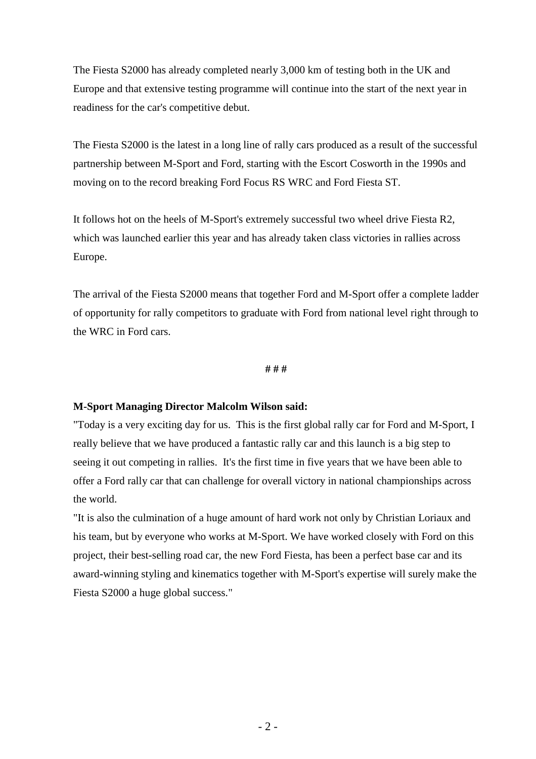The Fiesta S2000 has already completed nearly 3,000 km of testing both in the UK and Europe and that extensive testing programme will continue into the start of the next year in readiness for the car's competitive debut.

The Fiesta S2000 is the latest in a long line of rally cars produced as a result of the successful partnership between M-Sport and Ford, starting with the Escort Cosworth in the 1990s and moving on to the record breaking Ford Focus RS WRC and Ford Fiesta ST.

It follows hot on the heels of M-Sport's extremely successful two wheel drive Fiesta R2, which was launched earlier this year and has already taken class victories in rallies across Europe.

The arrival of the Fiesta S2000 means that together Ford and M-Sport offer a complete ladder of opportunity for rally competitors to graduate with Ford from national level right through to the WRC in Ford cars.

## **# # #**

## **M-Sport Managing Director Malcolm Wilson said:**

"Today is a very exciting day for us. This is the first global rally car for Ford and M-Sport, I really believe that we have produced a fantastic rally car and this launch is a big step to seeing it out competing in rallies. It's the first time in five years that we have been able to offer a Ford rally car that can challenge for overall victory in national championships across the world.

"It is also the culmination of a huge amount of hard work not only by Christian Loriaux and his team, but by everyone who works at M-Sport. We have worked closely with Ford on this project, their best-selling road car, the new Ford Fiesta, has been a perfect base car and its award-winning styling and kinematics together with M-Sport's expertise will surely make the Fiesta S2000 a huge global success."